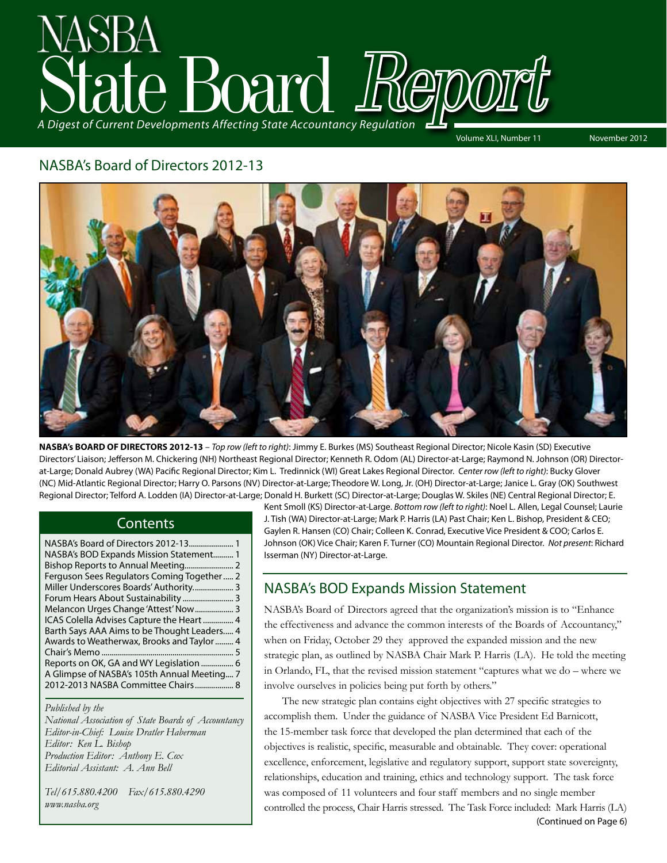# State Board Report *A Digest of Current Developments Affecting State Accountancy Regulation* Volume XLI, Number 11 November 2012

### NASBA's Board of Directors 2012-13



**NASBA's BOARD OF DIRECTORS 2012-13** – *Top row (left to right)*: Jimmy E. Burkes (MS) Southeast Regional Director; Nicole Kasin (SD) Executive Directors' Liaison; Jefferson M. Chickering (NH) Northeast Regional Director; Kenneth R. Odom (AL) Director-at-Large; Raymond N. Johnson (OR) Directorat-Large; Donald Aubrey (WA) Pacific Regional Director; Kim L. Tredinnick (WI) Great Lakes Regional Director. *Center row (left to right)*: Bucky Glover (NC) Mid-Atlantic Regional Director; Harry O. Parsons (NV) Director-at-Large; Theodore W. Long, Jr. (OH) Director-at-Large; Janice L. Gray (OK) Southwest Regional Director; Telford A. Lodden (IA) Director-at-Large; Donald H. Burkett (SC) Director-at-Large; Douglas W. Skiles (NE) Central Regional Director; E.

### **Contents**

| NASBA's BOD Expands Mission Statement 1<br>Ferguson Sees Regulators Coming Together 2 |  |
|---------------------------------------------------------------------------------------|--|
| Miller Underscores Boards' Authority 3<br>Forum Hears About Sustainability  3         |  |
|                                                                                       |  |
| ICAS Colella Advises Capture the Heart  4                                             |  |
| Barth Says AAA Aims to be Thought Leaders 4                                           |  |
| Awards to Weatherwax, Brooks and Taylor  4                                            |  |
|                                                                                       |  |
| Reports on OK, GA and WY Legislation  6                                               |  |
| A Glimpse of NASBA's 105th Annual Meeting 7                                           |  |
| 2012-2013 NASBA Committee Chairs 8                                                    |  |

#### *Published by the*

*National Association of State Boards of Accountancy Editor-in-Chief: Louise Dratler Haberman Editor: Ken L. Bishop Production Editor: Anthony E. Cox Editorial Assistant: A. Ann Bell* 

*Tel/615.880.4200 Fax/615.880.4290 www.nasba.org*

Kent Smoll (KS) Director-at-Large. *Bottom row (left to right)*: Noel L. Allen, Legal Counsel; Laurie J. Tish (WA) Director-at-Large; Mark P. Harris (LA) Past Chair; Ken L. Bishop, President & CEO; Gaylen R. Hansen (CO) Chair; Colleen K. Conrad, Executive Vice President & COO; Carlos E. Johnson (OK) Vice Chair; Karen F. Turner (CO) Mountain Regional Director. *Not present*: Richard Isserman (NY) Director-at-Large.

### NASBA's BOD Expands Mission Statement

NASBA's Board of Directors agreed that the organization's mission is to "Enhance the effectiveness and advance the common interests of the Boards of Accountancy," when on Friday, October 29 they approved the expanded mission and the new strategic plan, as outlined by NASBA Chair Mark P. Harris (LA). He told the meeting in Orlando, FL, that the revised mission statement "captures what we do – where we involve ourselves in policies being put forth by others."

The new strategic plan contains eight objectives with 27 specific strategies to accomplish them. Under the guidance of NASBA Vice President Ed Barnicott, the 15-member task force that developed the plan determined that each of the objectives is realistic, specific, measurable and obtainable. They cover: operational excellence, enforcement, legislative and regulatory support, support state sovereignty, relationships, education and training, ethics and technology support. The task force was composed of 11 volunteers and four staff members and no single member controlled the process, Chair Harris stressed. The Task Force included: Mark Harris (LA) (Continued on Page 6)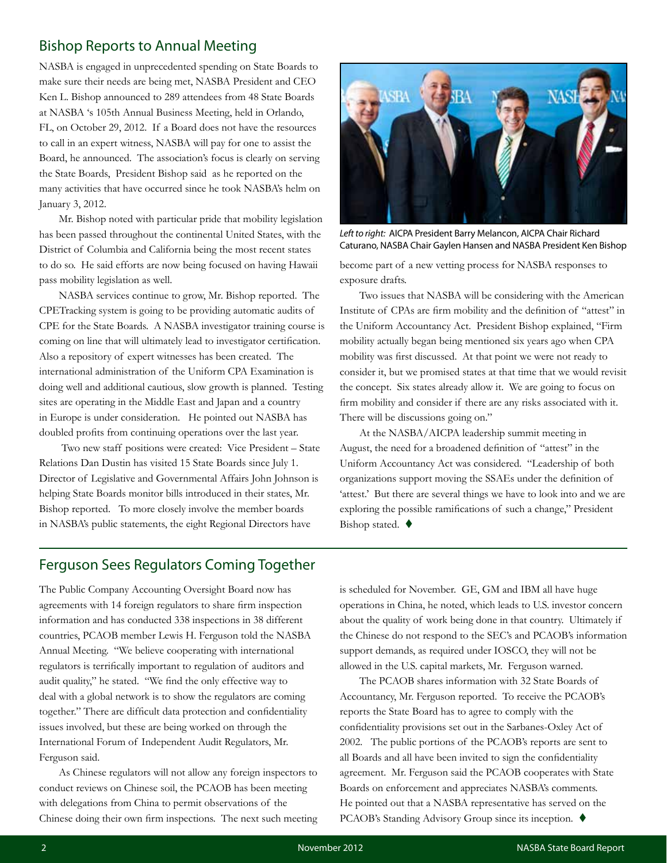### Bishop Reports to Annual Meeting

NASBA is engaged in unprecedented spending on State Boards to make sure their needs are being met, NASBA President and CEO Ken L. Bishop announced to 289 attendees from 48 State Boards at NASBA 's 105th Annual Business Meeting, held in Orlando, FL, on October 29, 2012. If a Board does not have the resources to call in an expert witness, NASBA will pay for one to assist the Board, he announced. The association's focus is clearly on serving the State Boards, President Bishop said as he reported on the many activities that have occurred since he took NASBA's helm on January 3, 2012.

Mr. Bishop noted with particular pride that mobility legislation has been passed throughout the continental United States, with the District of Columbia and California being the most recent states to do so. He said efforts are now being focused on having Hawaii pass mobility legislation as well.

NASBA services continue to grow, Mr. Bishop reported. The CPETracking system is going to be providing automatic audits of CPE for the State Boards. A NASBA investigator training course is coming on line that will ultimately lead to investigator certification. Also a repository of expert witnesses has been created. The international administration of the Uniform CPA Examination is doing well and additional cautious, slow growth is planned. Testing sites are operating in the Middle East and Japan and a country in Europe is under consideration. He pointed out NASBA has doubled profits from continuing operations over the last year.

 Two new staff positions were created: Vice President – State Relations Dan Dustin has visited 15 State Boards since July 1. Director of Legislative and Governmental Affairs John Johnson is helping State Boards monitor bills introduced in their states, Mr. Bishop reported. To more closely involve the member boards in NASBA's public statements, the eight Regional Directors have



*Left to right:* AICPA President Barry Melancon, AICPA Chair Richard Caturano, NASBA Chair Gaylen Hansen and NASBA President Ken Bishop

become part of a new vetting process for NASBA responses to exposure drafts.

Two issues that NASBA will be considering with the American Institute of CPAs are firm mobility and the definition of "attest" in the Uniform Accountancy Act. President Bishop explained, "Firm mobility actually began being mentioned six years ago when CPA mobility was first discussed. At that point we were not ready to consider it, but we promised states at that time that we would revisit the concept. Six states already allow it. We are going to focus on firm mobility and consider if there are any risks associated with it. There will be discussions going on."

At the NASBA/AICPA leadership summit meeting in August, the need for a broadened definition of "attest" in the Uniform Accountancy Act was considered. "Leadership of both organizations support moving the SSAEs under the definition of 'attest.' But there are several things we have to look into and we are exploring the possible ramifications of such a change," President Bishop stated.  $\blacklozenge$ 

### Ferguson Sees Regulators Coming Together

The Public Company Accounting Oversight Board now has agreements with 14 foreign regulators to share firm inspection information and has conducted 338 inspections in 38 different countries, PCAOB member Lewis H. Ferguson told the NASBA Annual Meeting. "We believe cooperating with international regulators is terrifically important to regulation of auditors and audit quality," he stated. "We find the only effective way to deal with a global network is to show the regulators are coming together." There are difficult data protection and confidentiality issues involved, but these are being worked on through the International Forum of Independent Audit Regulators, Mr. Ferguson said.

As Chinese regulators will not allow any foreign inspectors to conduct reviews on Chinese soil, the PCAOB has been meeting with delegations from China to permit observations of the Chinese doing their own firm inspections. The next such meeting is scheduled for November. GE, GM and IBM all have huge operations in China, he noted, which leads to U.S. investor concern about the quality of work being done in that country. Ultimately if the Chinese do not respond to the SEC's and PCAOB's information support demands, as required under IOSCO, they will not be allowed in the U.S. capital markets, Mr. Ferguson warned.

The PCAOB shares information with 32 State Boards of Accountancy, Mr. Ferguson reported. To receive the PCAOB's reports the State Board has to agree to comply with the confidentiality provisions set out in the Sarbanes-Oxley Act of 2002. The public portions of the PCAOB's reports are sent to all Boards and all have been invited to sign the confidentiality agreement. Mr. Ferguson said the PCAOB cooperates with State Boards on enforcement and appreciates NASBA's comments. He pointed out that a NASBA representative has served on the PCAOB's Standing Advisory Group since its inception. ♦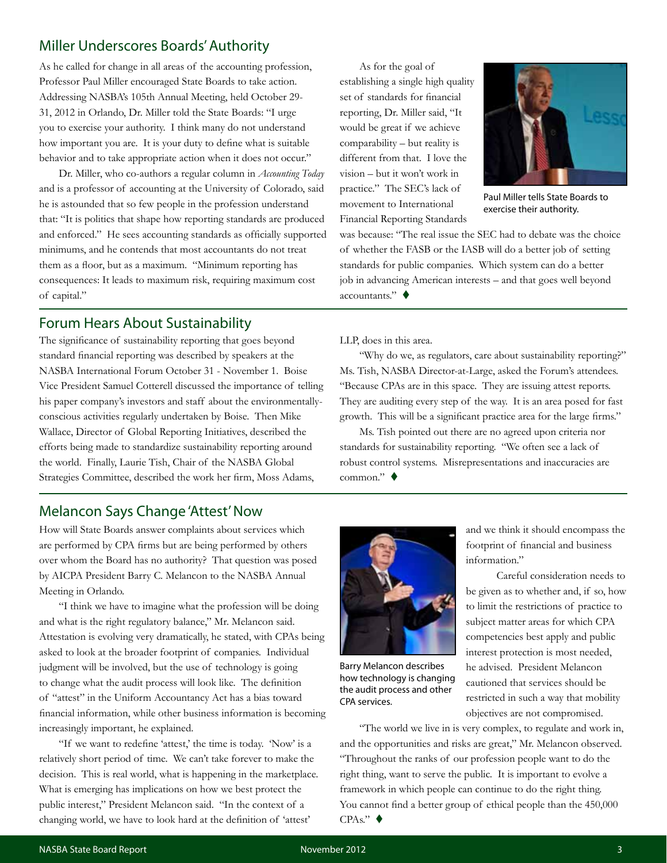### Miller Underscores Boards' Authority

As he called for change in all areas of the accounting profession, Professor Paul Miller encouraged State Boards to take action. Addressing NASBA's 105th Annual Meeting, held October 29- 31, 2012 in Orlando, Dr. Miller told the State Boards: "I urge you to exercise your authority. I think many do not understand how important you are. It is your duty to define what is suitable behavior and to take appropriate action when it does not occur."

Dr. Miller, who co-authors a regular column in *Accounting Today*  and is a professor of accounting at the University of Colorado, said he is astounded that so few people in the profession understand that: "It is politics that shape how reporting standards are produced and enforced." He sees accounting standards as officially supported minimums, and he contends that most accountants do not treat them as a floor, but as a maximum. "Minimum reporting has consequences: It leads to maximum risk, requiring maximum cost of capital."

### Forum Hears About Sustainability

The significance of sustainability reporting that goes beyond standard financial reporting was described by speakers at the NASBA International Forum October 31 - November 1. Boise Vice President Samuel Cotterell discussed the importance of telling his paper company's investors and staff about the environmentallyconscious activities regularly undertaken by Boise. Then Mike Wallace, Director of Global Reporting Initiatives, described the efforts being made to standardize sustainability reporting around the world. Finally, Laurie Tish, Chair of the NASBA Global Strategies Committee, described the work her firm, Moss Adams,

### Melancon Says Change 'Attest' Now

How will State Boards answer complaints about services which are performed by CPA firms but are being performed by others over whom the Board has no authority? That question was posed by AICPA President Barry C. Melancon to the NASBA Annual Meeting in Orlando.

"I think we have to imagine what the profession will be doing and what is the right regulatory balance," Mr. Melancon said. Attestation is evolving very dramatically, he stated, with CPAs being asked to look at the broader footprint of companies. Individual judgment will be involved, but the use of technology is going to change what the audit process will look like. The definition of "attest" in the Uniform Accountancy Act has a bias toward financial information, while other business information is becoming increasingly important, he explained.

"If we want to redefine 'attest,' the time is today. 'Now' is a relatively short period of time. We can't take forever to make the decision. This is real world, what is happening in the marketplace. What is emerging has implications on how we best protect the public interest," President Melancon said. "In the context of a changing world, we have to look hard at the definition of 'attest'

As for the goal of establishing a single high quality set of standards for financial reporting, Dr. Miller said, "It would be great if we achieve comparability – but reality is different from that. I love the vision – but it won't work in practice." The SEC's lack of movement to International Financial Reporting Standards



Paul Miller tells State Boards to exercise their authority.

was because: "The real issue the SEC had to debate was the choice of whether the FASB or the IASB will do a better job of setting standards for public companies. Which system can do a better job in advancing American interests – and that goes well beyond accountants." $\blacklozenge$ 

LLP, does in this area.

"Why do we, as regulators, care about sustainability reporting?" Ms. Tish, NASBA Director-at-Large, asked the Forum's attendees. "Because CPAs are in this space. They are issuing attest reports. They are auditing every step of the way. It is an area posed for fast growth. This will be a significant practice area for the large firms."

Ms. Tish pointed out there are no agreed upon criteria nor standards for sustainability reporting. "We often see a lack of robust control systems. Misrepresentations and inaccuracies are  $common$ ." $\blacklozenge$ 



Barry Melancon describes how technology is changing the audit process and other CPA services.

and we think it should encompass the footprint of financial and business information."

Careful consideration needs to be given as to whether and, if so, how to limit the restrictions of practice to subject matter areas for which CPA competencies best apply and public interest protection is most needed, he advised. President Melancon cautioned that services should be restricted in such a way that mobility objectives are not compromised.

"The world we live in is very complex, to regulate and work in, and the opportunities and risks are great," Mr. Melancon observed. "Throughout the ranks of our profession people want to do the right thing, want to serve the public. It is important to evolve a framework in which people can continue to do the right thing. You cannot find a better group of ethical people than the 450,000  $CPAs."$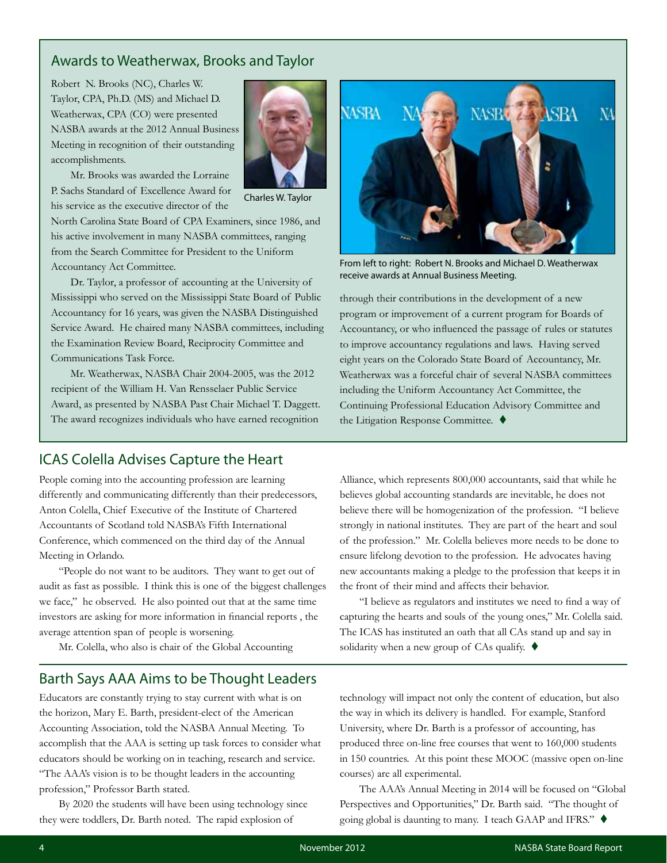### Awards to Weatherwax, Brooks and Taylor

Robert N. Brooks (NC), Charles W. Taylor, CPA, Ph.D. (MS) and Michael D. Weatherwax, CPA (CO) were presented NASBA awards at the 2012 Annual Business Meeting in recognition of their outstanding accomplishments.

Mr. Brooks was awarded the Lorraine P. Sachs Standard of Excellence Award for his service as the executive director of the

Charles W. Taylor

North Carolina State Board of CPA Examiners, since 1986, and his active involvement in many NASBA committees, ranging from the Search Committee for President to the Uniform Accountancy Act Committee.

Dr. Taylor, a professor of accounting at the University of Mississippi who served on the Mississippi State Board of Public Accountancy for 16 years, was given the NASBA Distinguished Service Award. He chaired many NASBA committees, including the Examination Review Board, Reciprocity Committee and Communications Task Force.

Mr. Weatherwax, NASBA Chair 2004-2005, was the 2012 recipient of the William H. Van Rensselaer Public Service Award, as presented by NASBA Past Chair Michael T. Daggett. The award recognizes individuals who have earned recognition

## NASBY ASBA **NASRA** NА

From left to right: Robert N. Brooks and Michael D. Weatherwax receive awards at Annual Business Meeting.

through their contributions in the development of a new program or improvement of a current program for Boards of Accountancy, or who influenced the passage of rules or statutes to improve accountancy regulations and laws. Having served eight years on the Colorado State Board of Accountancy, Mr. Weatherwax was a forceful chair of several NASBA committees including the Uniform Accountancy Act Committee, the Continuing Professional Education Advisory Committee and the Litigation Response Committee.

### ICAS Colella Advises Capture the Heart

People coming into the accounting profession are learning differently and communicating differently than their predecessors, Anton Colella, Chief Executive of the Institute of Chartered Accountants of Scotland told NASBA's Fifth International Conference, which commenced on the third day of the Annual Meeting in Orlando.

"People do not want to be auditors. They want to get out of audit as fast as possible. I think this is one of the biggest challenges we face," he observed. He also pointed out that at the same time investors are asking for more information in financial reports , the average attention span of people is worsening.

Mr. Colella, who also is chair of the Global Accounting

Alliance, which represents 800,000 accountants, said that while he believes global accounting standards are inevitable, he does not believe there will be homogenization of the profession. "I believe strongly in national institutes. They are part of the heart and soul of the profession." Mr. Colella believes more needs to be done to ensure lifelong devotion to the profession. He advocates having new accountants making a pledge to the profession that keeps it in the front of their mind and affects their behavior.

"I believe as regulators and institutes we need to find a way of capturing the hearts and souls of the young ones," Mr. Colella said. The ICAS has instituted an oath that all CAs stand up and say in solidarity when a new group of CAs qualify.  $\blacklozenge$ 

### Barth Says AAA Aims to be Thought Leaders

Educators are constantly trying to stay current with what is on the horizon, Mary E. Barth, president-elect of the American Accounting Association, told the NASBA Annual Meeting. To accomplish that the AAA is setting up task forces to consider what educators should be working on in teaching, research and service. "The AAA's vision is to be thought leaders in the accounting profession," Professor Barth stated.

By 2020 the students will have been using technology since they were toddlers, Dr. Barth noted. The rapid explosion of

technology will impact not only the content of education, but also the way in which its delivery is handled. For example, Stanford University, where Dr. Barth is a professor of accounting, has produced three on-line free courses that went to 160,000 students in 150 countries. At this point these MOOC (massive open on-line courses) are all experimental.

The AAA's Annual Meeting in 2014 will be focused on "Global Perspectives and Opportunities," Dr. Barth said. "The thought of going global is daunting to many. I teach GAAP and IFRS."  $\blacklozenge$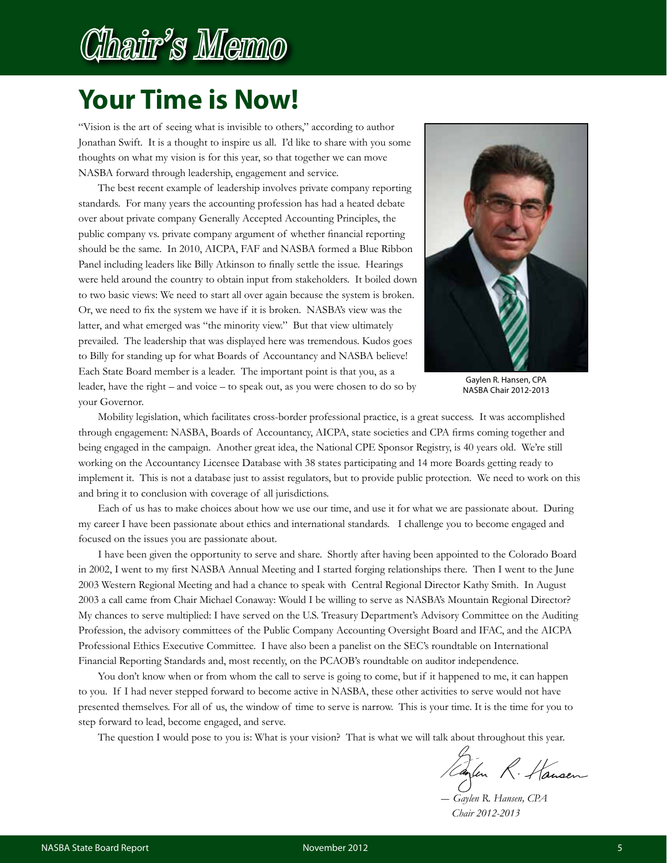### Chair's Memo

### **Your Time is Now!**

"Vision is the art of seeing what is invisible to others," according to author Jonathan Swift. It is a thought to inspire us all. I'd like to share with you some thoughts on what my vision is for this year, so that together we can move NASBA forward through leadership, engagement and service.

The best recent example of leadership involves private company reporting standards. For many years the accounting profession has had a heated debate over about private company Generally Accepted Accounting Principles, the public company vs. private company argument of whether financial reporting should be the same. In 2010, AICPA, FAF and NASBA formed a Blue Ribbon Panel including leaders like Billy Atkinson to finally settle the issue. Hearings were held around the country to obtain input from stakeholders. It boiled down to two basic views: We need to start all over again because the system is broken. Or, we need to fix the system we have if it is broken. NASBA's view was the latter, and what emerged was "the minority view." But that view ultimately prevailed. The leadership that was displayed here was tremendous. Kudos goes to Billy for standing up for what Boards of Accountancy and NASBA believe! Each State Board member is a leader. The important point is that you, as a leader, have the right – and voice – to speak out, as you were chosen to do so by your Governor.



Gaylen R. Hansen, CPA NASBA Chair 2012-2013

Mobility legislation, which facilitates cross-border professional practice, is a great success. It was accomplished through engagement: NASBA, Boards of Accountancy, AICPA, state societies and CPA firms coming together and being engaged in the campaign. Another great idea, the National CPE Sponsor Registry, is 40 years old. We're still working on the Accountancy Licensee Database with 38 states participating and 14 more Boards getting ready to implement it. This is not a database just to assist regulators, but to provide public protection. We need to work on this and bring it to conclusion with coverage of all jurisdictions.

Each of us has to make choices about how we use our time, and use it for what we are passionate about. During my career I have been passionate about ethics and international standards. I challenge you to become engaged and focused on the issues you are passionate about.

I have been given the opportunity to serve and share. Shortly after having been appointed to the Colorado Board in 2002, I went to my first NASBA Annual Meeting and I started forging relationships there. Then I went to the June 2003 Western Regional Meeting and had a chance to speak with Central Regional Director Kathy Smith. In August 2003 a call came from Chair Michael Conaway: Would I be willing to serve as NASBA's Mountain Regional Director? My chances to serve multiplied: I have served on the U.S. Treasury Department's Advisory Committee on the Auditing Profession, the advisory committees of the Public Company Accounting Oversight Board and IFAC, and the AICPA Professional Ethics Executive Committee. I have also been a panelist on the SEC's roundtable on International Financial Reporting Standards and, most recently, on the PCAOB's roundtable on auditor independence.

You don't know when or from whom the call to serve is going to come, but if it happened to me, it can happen to you. If I had never stepped forward to become active in NASBA, these other activities to serve would not have presented themselves. For all of us, the window of time to serve is narrow. This is your time. It is the time for you to step forward to lead, become engaged, and serve.

The question I would pose to you is: What is your vision? That is what we will talk about throughout this year.

Parten R. Hansen

*― Gaylen R. Hansen, CPA Chair 2012-2013*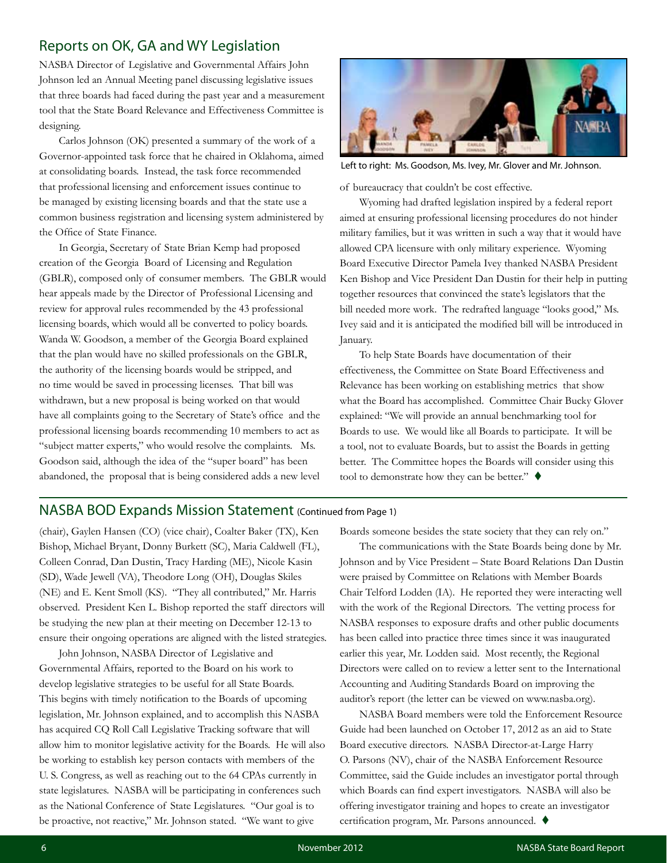### Reports on OK, GA and WY Legislation

NASBA Director of Legislative and Governmental Affairs John Johnson led an Annual Meeting panel discussing legislative issues that three boards had faced during the past year and a measurement tool that the State Board Relevance and Effectiveness Committee is designing.

Carlos Johnson (OK) presented a summary of the work of a Governor-appointed task force that he chaired in Oklahoma, aimed at consolidating boards. Instead, the task force recommended that professional licensing and enforcement issues continue to be managed by existing licensing boards and that the state use a common business registration and licensing system administered by the Office of State Finance.

In Georgia, Secretary of State Brian Kemp had proposed creation of the Georgia Board of Licensing and Regulation (GBLR), composed only of consumer members. The GBLR would hear appeals made by the Director of Professional Licensing and review for approval rules recommended by the 43 professional licensing boards, which would all be converted to policy boards. Wanda W. Goodson, a member of the Georgia Board explained that the plan would have no skilled professionals on the GBLR, the authority of the licensing boards would be stripped, and no time would be saved in processing licenses. That bill was withdrawn, but a new proposal is being worked on that would have all complaints going to the Secretary of State's office and the professional licensing boards recommending 10 members to act as "subject matter experts," who would resolve the complaints. Ms. Goodson said, although the idea of the "super board" has been abandoned, the proposal that is being considered adds a new level



Left to right: Ms. Goodson, Ms. Ivey, Mr. Glover and Mr. Johnson.

of bureaucracy that couldn't be cost effective.

Wyoming had drafted legislation inspired by a federal report aimed at ensuring professional licensing procedures do not hinder military families, but it was written in such a way that it would have allowed CPA licensure with only military experience. Wyoming Board Executive Director Pamela Ivey thanked NASBA President Ken Bishop and Vice President Dan Dustin for their help in putting together resources that convinced the state's legislators that the bill needed more work. The redrafted language "looks good," Ms. Ivey said and it is anticipated the modified bill will be introduced in January.

To help State Boards have documentation of their effectiveness, the Committee on State Board Effectiveness and Relevance has been working on establishing metrics that show what the Board has accomplished. Committee Chair Bucky Glover explained: "We will provide an annual benchmarking tool for Boards to use. We would like all Boards to participate. It will be a tool, not to evaluate Boards, but to assist the Boards in getting better. The Committee hopes the Boards will consider using this tool to demonstrate how they can be better."  $\blacklozenge$ 

#### NASBA BOD Expands Mission Statement (Continued from Page 1)

(chair), Gaylen Hansen (CO) (vice chair), Coalter Baker (TX), Ken Bishop, Michael Bryant, Donny Burkett (SC), Maria Caldwell (FL), Colleen Conrad, Dan Dustin, Tracy Harding (ME), Nicole Kasin (SD), Wade Jewell (VA), Theodore Long (OH), Douglas Skiles (NE) and E. Kent Smoll (KS). "They all contributed," Mr. Harris observed. President Ken L. Bishop reported the staff directors will be studying the new plan at their meeting on December 12-13 to ensure their ongoing operations are aligned with the listed strategies.

John Johnson, NASBA Director of Legislative and Governmental Affairs, reported to the Board on his work to develop legislative strategies to be useful for all State Boards. This begins with timely notification to the Boards of upcoming legislation, Mr. Johnson explained, and to accomplish this NASBA has acquired CQ Roll Call Legislative Tracking software that will allow him to monitor legislative activity for the Boards. He will also be working to establish key person contacts with members of the U. S. Congress, as well as reaching out to the 64 CPAs currently in state legislatures. NASBA will be participating in conferences such as the National Conference of State Legislatures. "Our goal is to be proactive, not reactive," Mr. Johnson stated. "We want to give

Boards someone besides the state society that they can rely on."

The communications with the State Boards being done by Mr. Johnson and by Vice President – State Board Relations Dan Dustin were praised by Committee on Relations with Member Boards Chair Telford Lodden (IA). He reported they were interacting well with the work of the Regional Directors. The vetting process for NASBA responses to exposure drafts and other public documents has been called into practice three times since it was inaugurated earlier this year, Mr. Lodden said. Most recently, the Regional Directors were called on to review a letter sent to the International Accounting and Auditing Standards Board on improving the auditor's report (the letter can be viewed on www.nasba.org).

NASBA Board members were told the Enforcement Resource Guide had been launched on October 17, 2012 as an aid to State Board executive directors. NASBA Director-at-Large Harry O. Parsons (NV), chair of the NASBA Enforcement Resource Committee, said the Guide includes an investigator portal through which Boards can find expert investigators. NASBA will also be offering investigator training and hopes to create an investigator certification program, Mr. Parsons announced.  $\blacklozenge$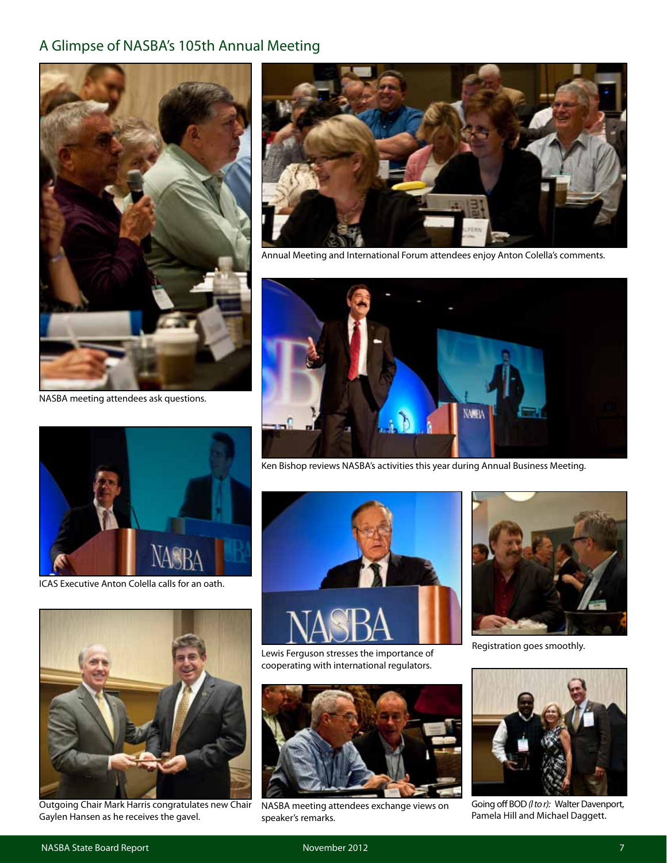### A Glimpse of NASBA's 105th Annual Meeting



NASBA meeting attendees ask questions.



Annual Meeting and International Forum attendees enjoy Anton Colella's comments.



Ken Bishop reviews NASBA's activities this year during Annual Business Meeting.



ICAS Executive Anton Colella calls for an oath.



Lewis Ferguson stresses the importance of cooperating with international regulators.



Registration goes smoothly.



Outgoing Chair Mark Harris congratulates new Chair Gaylen Hansen as he receives the gavel.



NASBA meeting attendees exchange views on speaker's remarks.



Going off BOD *(l to r):* Walter Davenport, Pamela Hill and Michael Daggett.